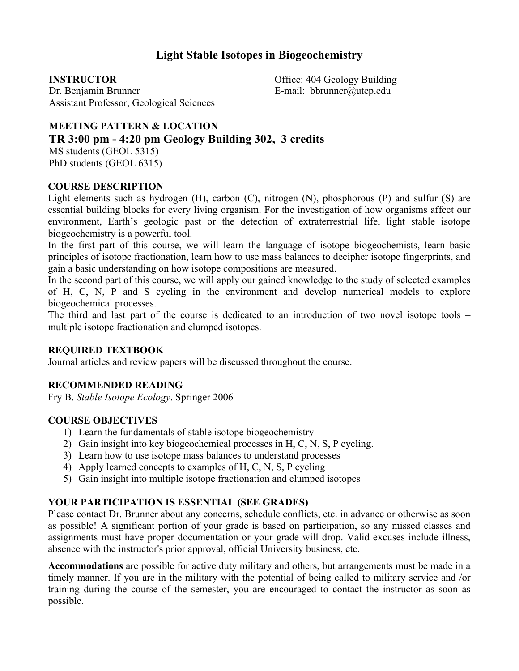# **Light Stable Isotopes in Biogeochemistry**

**INSTRUCTOR** Dr. Benjamin Brunner Assistant Professor, Geological Sciences Office: 404 Geology Building E-mail: bbrunner@utep.edu

## **MEETING PATTERN & LOCATION TR 3:00 pm - 4:20 pm Geology Building 302, 3 credits**

MS students (GEOL 5315) PhD students (GEOL 6315)

#### **COURSE DESCRIPTION**

Light elements such as hydrogen (H), carbon (C), nitrogen (N), phosphorous (P) and sulfur (S) are essential building blocks for every living organism. For the investigation of how organisms affect our environment, Earth's geologic past or the detection of extraterrestrial life, light stable isotope biogeochemistry is a powerful tool.

In the first part of this course, we will learn the language of isotope biogeochemists, learn basic principles of isotope fractionation, learn how to use mass balances to decipher isotope fingerprints, and gain a basic understanding on how isotope compositions are measured.

In the second part of this course, we will apply our gained knowledge to the study of selected examples of H, C, N, P and S cycling in the environment and develop numerical models to explore biogeochemical processes.

The third and last part of the course is dedicated to an introduction of two novel isotope tools – multiple isotope fractionation and clumped isotopes.

#### **REQUIRED TEXTBOOK**

Journal articles and review papers will be discussed throughout the course.

#### **RECOMMENDED READING**

Fry B. *Stable Isotope Ecology*. Springer 2006

## **COURSE OBJECTIVES**

- 1) Learn the fundamentals of stable isotope biogeochemistry
- 2) Gain insight into key biogeochemical processes in H, C, N, S, P cycling.
- 3) Learn how to use isotope mass balances to understand processes
- 4) Apply learned concepts to examples of H, C, N, S, P cycling
- 5) Gain insight into multiple isotope fractionation and clumped isotopes

## **YOUR PARTICIPATION IS ESSENTIAL (SEE GRADES)**

Please contact Dr. Brunner about any concerns, schedule conflicts, etc. in advance or otherwise as soon as possible! A significant portion of your grade is based on participation, so any missed classes and assignments must have proper documentation or your grade will drop. Valid excuses include illness, absence with the instructor's prior approval, official University business, etc.

**Accommodations** are possible for active duty military and others, but arrangements must be made in a timely manner. If you are in the military with the potential of being called to military service and /or training during the course of the semester, you are encouraged to contact the instructor as soon as possible.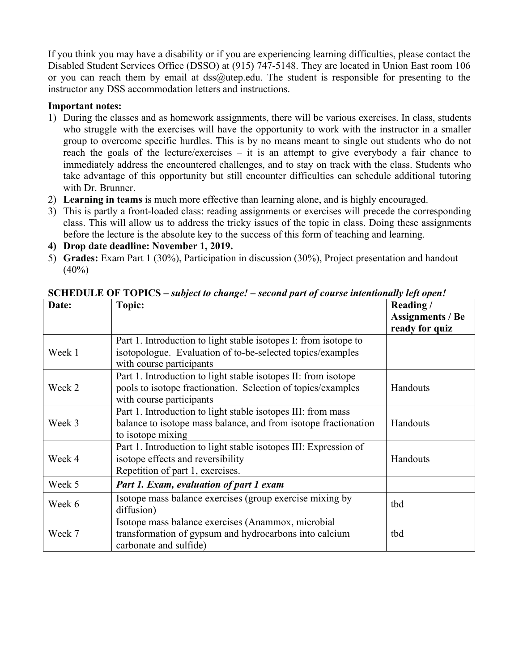If you think you may have a disability or if you are experiencing learning difficulties, please contact the Disabled Student Services Office (DSSO) at (915) 747-5148. They are located in Union East room 106 or you can reach them by email at  $dss@u$ tep.edu. The student is responsible for presenting to the instructor any DSS accommodation letters and instructions.

### **Important notes:**

- 1) During the classes and as homework assignments, there will be various exercises. In class, students who struggle with the exercises will have the opportunity to work with the instructor in a smaller group to overcome specific hurdles. This is by no means meant to single out students who do not reach the goals of the lecture/exercises – it is an attempt to give everybody a fair chance to immediately address the encountered challenges, and to stay on track with the class. Students who take advantage of this opportunity but still encounter difficulties can schedule additional tutoring with Dr. Brunner.
- 2) **Learning in teams** is much more effective than learning alone, and is highly encouraged.
- 3) This is partly a front-loaded class: reading assignments or exercises will precede the corresponding class. This will allow us to address the tricky issues of the topic in class. Doing these assignments before the lecture is the absolute key to the success of this form of teaching and learning.
- **4) Drop date deadline: November 1, 2019.**
- 5) **Grades:** Exam Part 1 (30%), Participation in discussion (30%), Project presentation and handout  $(40\%)$

| Date:  | Topic:                                                                                                                                                     | Reading/<br><b>Assignments / Be</b><br>ready for quiz |
|--------|------------------------------------------------------------------------------------------------------------------------------------------------------------|-------------------------------------------------------|
| Week 1 | Part 1. Introduction to light stable isotopes I: from isotope to<br>isotopologue. Evaluation of to-be-selected topics/examples<br>with course participants |                                                       |
| Week 2 | Part 1. Introduction to light stable isotopes II: from isotope<br>pools to isotope fractionation. Selection of topics/examples<br>with course participants | Handouts                                              |
| Week 3 | Part 1. Introduction to light stable isotopes III: from mass<br>balance to isotope mass balance, and from isotope fractionation<br>to isotope mixing       | Handouts                                              |
| Week 4 | Part 1. Introduction to light stable isotopes III: Expression of<br>isotope effects and reversibility<br>Repetition of part 1, exercises.                  | Handouts                                              |
| Week 5 | Part 1. Exam, evaluation of part 1 exam                                                                                                                    |                                                       |
| Week 6 | Isotope mass balance exercises (group exercise mixing by<br>diffusion)                                                                                     | tbd                                                   |
| Week 7 | Isotope mass balance exercises (Anammox, microbial<br>transformation of gypsum and hydrocarbons into calcium<br>carbonate and sulfide)                     | tbd                                                   |

**SCHEDULE OF TOPICS –** *subject to change! – second part of course intentionally left open!*